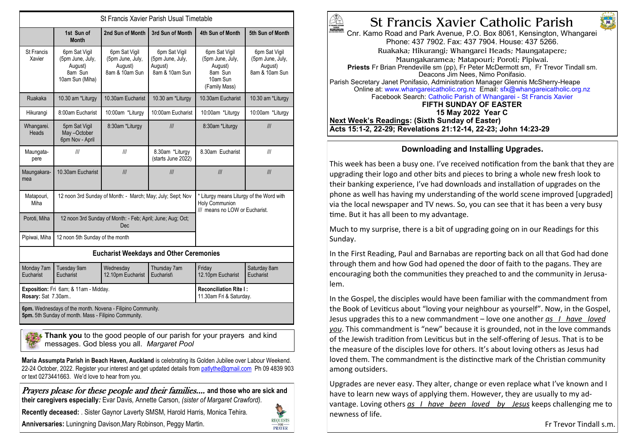| St Francis Xavier Parish Usual Timetable                                                                           |                                                                            |                                                                |                                                                |                                                                                                     |                                                                |
|--------------------------------------------------------------------------------------------------------------------|----------------------------------------------------------------------------|----------------------------------------------------------------|----------------------------------------------------------------|-----------------------------------------------------------------------------------------------------|----------------------------------------------------------------|
|                                                                                                                    | 1st Sun of<br><b>Month</b>                                                 | 2nd Sun of Month                                               | 3rd Sun of Month                                               | 4th Sun of Month                                                                                    | 5th Sun of Month                                               |
| St Francis<br>Xavier                                                                                               | 6pm Sat Vigil<br>(5pm June, July,<br>August)<br>8am Sun<br>10am Sun (Miha) | 6pm Sat Vigil<br>(5pm June, July,<br>August)<br>8am & 10am Sun | 6pm Sat Vigil<br>(5pm June, July,<br>August)<br>8am & 10am Sun | 6pm Sat Vigil<br>(5pm June, July,<br>August)<br>8am Sun<br>10am Sun<br>(Family Mass)                | 6pm Sat Vigil<br>(5pm June, July,<br>August)<br>8am & 10am Sun |
| Ruakaka                                                                                                            | 10.30 am *Liturgy                                                          | 10.30am Eucharist                                              | 10.30 am *Liturgy                                              | 10.30am Eucharist                                                                                   | 10.30 am *Liturgy                                              |
| Hikurangi                                                                                                          | 8:00am Eucharist                                                           | 10:00am *Liturgy                                               | 10:00am Eucharist                                              | 10:00am *Liturgy                                                                                    | 10:00am *Liturgy                                               |
| Whangarei.<br>Heads                                                                                                | 5pm Sat Vigil<br>May-October<br>6pm Nov - April                            | 8:30am *Liturgy                                                | III                                                            | 8:30am *Liturgy                                                                                     | III                                                            |
| Maungata-<br>pere                                                                                                  | III                                                                        | III                                                            | 8.30am *Liturgy<br>(starts June 2022)                          | 8.30am Eucharist                                                                                    | III                                                            |
| Maungakara-<br>mea                                                                                                 | 10.30am Eucharist                                                          | III                                                            | III                                                            | III                                                                                                 | III                                                            |
| Matapouri,<br>Miha                                                                                                 | 12 noon 3rd Sunday of Month: - March; May; July; Sept; Nov                 |                                                                |                                                                | * Liturgy means Liturgy of the Word with<br><b>Holy Communion</b><br>/// means no LOW or Eucharist. |                                                                |
| Poroti, Miha                                                                                                       | 12 noon 3rd Sunday of Month: - Feb; April; June; Aug; Oct;<br>Dec          |                                                                |                                                                |                                                                                                     |                                                                |
| Pipiwai, Miha                                                                                                      | 12 noon 5th Sunday of the month                                            |                                                                |                                                                |                                                                                                     |                                                                |
| <b>Eucharist Weekdays and Other Ceremonies</b>                                                                     |                                                                            |                                                                |                                                                |                                                                                                     |                                                                |
| Monday 7am<br>Eucharist                                                                                            | Tuesday 9am<br>Eucharist                                                   | Wednesday<br>12.10pm Eucharist                                 | Thursday 7am<br>Eucharist\                                     | Friday<br>12.10pm Eucharist                                                                         | Saturday 8am<br>Eucharist                                      |
| Exposition: Fri 6am; & 11am - Midday.<br>Rosary: Sat 7.30am                                                        |                                                                            |                                                                |                                                                | <b>Reconciliation Rite I:</b><br>11.30am Fri & Saturday.                                            |                                                                |
| 6pm. Wednesdays of the month. Novena - Filipino Community.<br>5pm. 5th Sunday of month. Mass - Filipino Community. |                                                                            |                                                                |                                                                |                                                                                                     |                                                                |

**Thank you** to the good people of our parish for your prayers and kind messages. God bless you all. *Margaret Pool* 

**Maria Assumpta Parish in Beach Haven, Auckland** is celebrating its Golden Jubilee over Labour Weekend. 22-24 October, 2022. Register your interest and get updated details from [patlythe@gmail.com](mailto:patlythe@gmail.com) Ph 09 4839 903 or text 0273441663. We'd love to hear from you.

Prayers please for these people and their families.... **and those who are sick and their caregivers especially***:* Evar Davis*,* Annette Carson, *(sister of Margaret Crawford).*

**Recently deceased:** . Sister Gaynor Laverty SMSM, Harold Harris*,* Monica Tehira*.*

**Anniversaries:** Luningning Davison,Mary Robinson, Peggy Martin.



# St Francis Xavier Catholic Parish

Cnr. Kamo Road and Park Avenue, P.O. Box 8061, Kensington, Whangarei Phone: 437 7902. Fax: 437 7904. House: 437 5266. Ruakaka; Hikurangi; Whangarei Heads; Maungatapere; Maungakaramea; Matapouri; Poroti; Pipiwai. **Priests** Fr Brian Prendeville sm (pp), Fr Peter McDermott sm, Fr Trevor Tindall sm. Deacons Jim Nees, Nimo Ponifasio. Parish Secretary Janet Ponifasio, Administration Manager Glennis McSherry-Heape Online at: www.whangareicatholic.org.nz Email: sfx@whangareicatholic.org.nz Facebook Search: Catholic Parish of Whangarei - St Francis Xavier **FIFTH SUNDAY OF EASTER 15 May 2022 Year C Next Week's Readings: (Sixth Sunday of Easter) Acts 15:1-2, 22-29; Revelations 21:12-14, 22-23; John 14:23-29**

## **Downloading and Installing Upgrades.**

This week has been a busy one. I've received notification from the bank that they are upgrading their logo and other bits and pieces to bring a whole new fresh look to their banking experience, I've had downloads and installation of upgrades on the phone as well has having my understanding of the world scene improved [upgraded] via the local newspaper and TV news. So, you can see that it has been a very busy time. But it has all been to my advantage.

Much to my surprise, there is a bit of upgrading going on in our Readings for this Sunday.

In the First Reading, Paul and Barnabas are reporting back on all that God had done through them and how God had opened the door of faith to the pagans. They are encouraging both the communities they preached to and the community in Jerusalem.

In the Gospel, the disciples would have been familiar with the commandment from the Book of Leviticus about "loving your neighbour as yourself". Now, in the Gospel, Jesus upgrades this to a new commandment – love one another *as I have loved you*. This commandment is "new" because it is grounded, not in the love commands of the Jewish tradition from Leviticus but in the self-offering of Jesus. That is to be the measure of the disciples love for others. It's about loving others as Jesus had loved them. The commandment is the distinctive mark of the Christian community among outsiders.

Upgrades are never easy. They alter, change or even replace what I've known and I have to learn new ways of applying them. However, they are usually to my advantage. Loving others *as I have been loved by Jesus* keeps challenging me to newness of life.

Fr Trevor Tindall s.m.